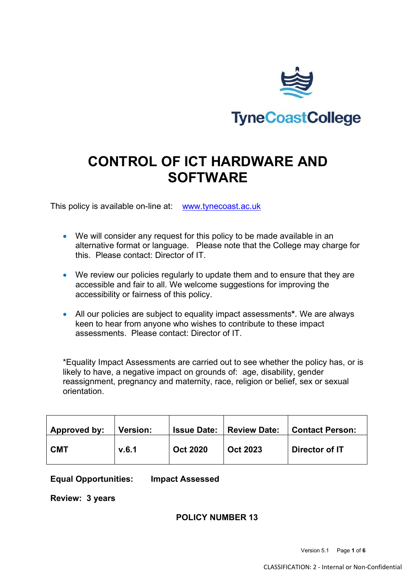

# **CONTROL OF ICT HARDWARE AND SOFTWARE**

This policy is available on-line at: [www.tynecoast.ac.uk](http://www.tynecoast.ac.uk/)

- We will consider any request for this policy to be made available in an alternative format or language. Please note that the College may charge for this. Please contact: Director of IT.
- We review our policies regularly to update them and to ensure that they are accessible and fair to all. We welcome suggestions for improving the accessibility or fairness of this policy.
- All our policies are subject to equality impact assessments**\***. We are always keen to hear from anyone who wishes to contribute to these impact assessments. Please contact: Director of IT.

\*Equality Impact Assessments are carried out to see whether the policy has, or is likely to have, a negative impact on grounds of: age, disability, gender reassignment, pregnancy and maternity, race, religion or belief, sex or sexual orientation.

| Approved by: | <b>Version:</b> | <b>Issue Date:</b> | <b>Review Date:</b> | <b>Contact Person:</b> |
|--------------|-----------------|--------------------|---------------------|------------------------|
| <b>CMT</b>   | V.6.1           | <b>Oct 2020</b>    | <b>Oct 2023</b>     | Director of IT         |

**Equal Opportunities: Impact Assessed**

**Review: 3 years**

## **POLICY NUMBER 13**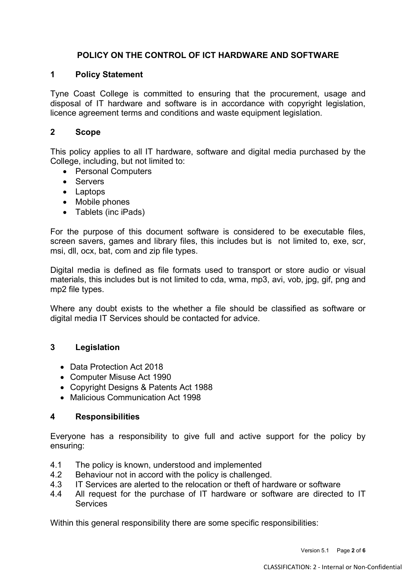# **POLICY ON THE CONTROL OF ICT HARDWARE AND SOFTWARE**

# **1 Policy Statement**

Tyne Coast College is committed to ensuring that the procurement, usage and disposal of IT hardware and software is in accordance with copyright legislation, licence agreement terms and conditions and waste equipment legislation.

# **2 Scope**

This policy applies to all IT hardware, software and digital media purchased by the College, including, but not limited to:

- Personal Computers
- Servers
- Laptops
- Mobile phones
- Tablets (inc iPads)

For the purpose of this document software is considered to be executable files, screen savers, games and library files, this includes but is not limited to, exe, scr, msi, dll, ocx, bat, com and zip file types.

Digital media is defined as file formats used to transport or store audio or visual materials, this includes but is not limited to cda, wma, mp3, avi, vob, jpg, gif, png and mp2 file types.

Where any doubt exists to the whether a file should be classified as software or digital media IT Services should be contacted for advice.

## **3 Legislation**

- Data Protection Act 2018
- Computer Misuse Act 1990
- Copyright Designs & Patents Act 1988
- Malicious Communication Act 1998

## **4 Responsibilities**

Everyone has a responsibility to give full and active support for the policy by ensuring:

- 4.1 The policy is known, understood and implemented
- 4.2 Behaviour not in accord with the policy is challenged.
- 4.3 IT Services are alerted to the relocation or theft of hardware or software
- 4.4 All request for the purchase of IT hardware or software are directed to IT **Services**

Within this general responsibility there are some specific responsibilities: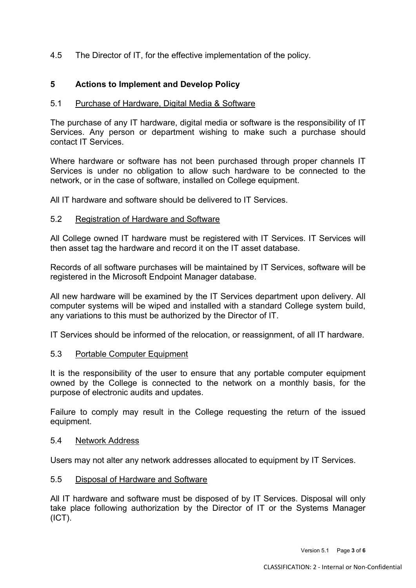4.5 The Director of IT, for the effective implementation of the policy.

# **5 Actions to Implement and Develop Policy**

#### 5.1 Purchase of Hardware, Digital Media & Software

The purchase of any IT hardware, digital media or software is the responsibility of IT Services. Any person or department wishing to make such a purchase should contact IT Services.

Where hardware or software has not been purchased through proper channels IT Services is under no obligation to allow such hardware to be connected to the network, or in the case of software, installed on College equipment.

All IT hardware and software should be delivered to IT Services.

#### 5.2 Registration of Hardware and Software

All College owned IT hardware must be registered with IT Services. IT Services will then asset tag the hardware and record it on the IT asset database.

Records of all software purchases will be maintained by IT Services, software will be registered in the Microsoft Endpoint Manager database.

All new hardware will be examined by the IT Services department upon delivery. All computer systems will be wiped and installed with a standard College system build, any variations to this must be authorized by the Director of IT.

IT Services should be informed of the relocation, or reassignment, of all IT hardware.

#### 5.3 Portable Computer Equipment

It is the responsibility of the user to ensure that any portable computer equipment owned by the College is connected to the network on a monthly basis, for the purpose of electronic audits and updates.

Failure to comply may result in the College requesting the return of the issued equipment.

#### 5.4 Network Address

Users may not alter any network addresses allocated to equipment by IT Services.

#### 5.5 Disposal of Hardware and Software

All IT hardware and software must be disposed of by IT Services. Disposal will only take place following authorization by the Director of IT or the Systems Manager (ICT).

Version 5.1 Page **3** of **6**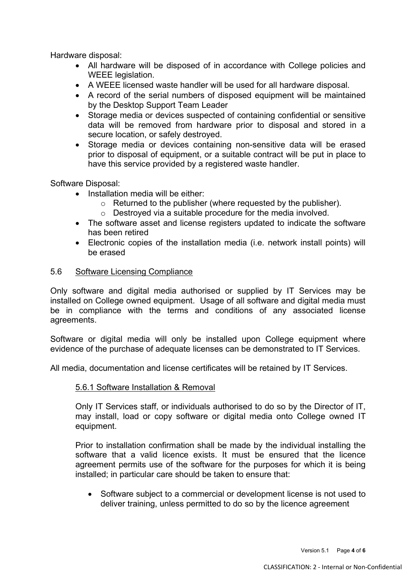Hardware disposal:

- All hardware will be disposed of in accordance with College policies and WEEE legislation.
- A WEEE licensed waste handler will be used for all hardware disposal.
- A record of the serial numbers of disposed equipment will be maintained by the Desktop Support Team Leader
- Storage media or devices suspected of containing confidential or sensitive data will be removed from hardware prior to disposal and stored in a secure location, or safely destroyed.
- Storage media or devices containing non-sensitive data will be erased prior to disposal of equipment, or a suitable contract will be put in place to have this service provided by a registered waste handler.

Software Disposal:

- Installation media will be either:
	- o Returned to the publisher (where requested by the publisher).
	- o Destroyed via a suitable procedure for the media involved.
- The software asset and license registers updated to indicate the software has been retired
- Electronic copies of the installation media (i.e. network install points) will be erased

#### 5.6 Software Licensing Compliance

Only software and digital media authorised or supplied by IT Services may be installed on College owned equipment. Usage of all software and digital media must be in compliance with the terms and conditions of any associated license agreements.

Software or digital media will only be installed upon College equipment where evidence of the purchase of adequate licenses can be demonstrated to IT Services.

All media, documentation and license certificates will be retained by IT Services.

#### 5.6.1 Software Installation & Removal

Only IT Services staff, or individuals authorised to do so by the Director of IT, may install, load or copy software or digital media onto College owned IT equipment.

Prior to installation confirmation shall be made by the individual installing the software that a valid licence exists. It must be ensured that the licence agreement permits use of the software for the purposes for which it is being installed; in particular care should be taken to ensure that:

• Software subject to a commercial or development license is not used to deliver training, unless permitted to do so by the licence agreement

Version 5.1 Page **4** of **6**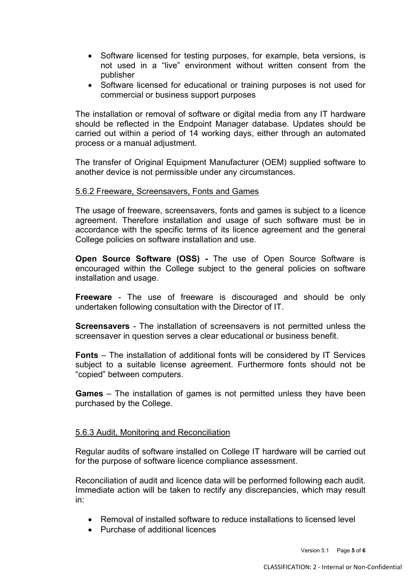- Software licensed for testing purposes, for example, beta versions, is not used in a "live" environment without written consent from the publisher
- Software licensed for educational or training purposes is not used for commercial or business support purposes

The installation or removal of software or digital media from any IT hardware should be reflected in the Endpoint Manager database. Updates should be carried out within a period of 14 working days, either through an automated process or a manual adjustment.

The transfer of Original Equipment Manufacturer (OEM) supplied software to another device is not permissible under any circumstances.

#### 5.6.2 Freeware, Screensavers, Fonts and Games

The usage of freeware, screensavers, fonts and games is subject to a licence agreement. Therefore installation and usage of such software must be in accordance with the specific terms of its licence agreement and the general College policies on software installation and use.

**Open Source Software (OSS) -** The use of Open Source Software is encouraged within the College subject to the general policies on software installation and usage.

**Freeware** - The use of freeware is discouraged and should be only undertaken following consultation with the Director of IT.

**Screensavers** - The installation of screensavers is not permitted unless the screensaver in question serves a clear educational or business benefit.

**Fonts** – The installation of additional fonts will be considered by IT Services subject to a suitable license agreement. Furthermore fonts should not be "copied" between computers.

**Games** – The installation of games is not permitted unless they have been purchased by the College.

#### 5.6.3 Audit, Monitoring and Reconciliation

Regular audits of software installed on College IT hardware will be carried out for the purpose of software licence compliance assessment.

Reconciliation of audit and licence data will be performed following each audit. Immediate action will be taken to rectify any discrepancies, which may result in:

- Removal of installed software to reduce installations to licensed level
- Purchase of additional licences